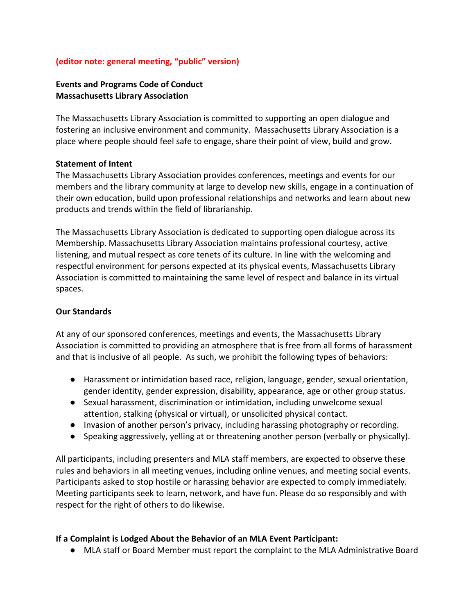#### **(editor note: general meeting, "public" version)**

# **Events and Programs Code of Conduct Massachusetts Library Association**

The Massachusetts Library Association is committed to supporting an open dialogue and fostering an inclusive environment and community. Massachusetts Library Association is a place where people should feel safe to engage, share their point of view, build and grow.

#### **Statement of Intent**

The Massachusetts Library Association provides conferences, meetings and events for our members and the library community at large to develop new skills, engage in a continuation of their own education, build upon professional relationships and networks and learn about new products and trends within the field of librarianship.

The Massachusetts Library Association is dedicated to supporting open dialogue across its Membership. Massachusetts Library Association maintains professional courtesy, active listening, and mutual respect as core tenets of its culture. In line with the welcoming and respectful environment for persons expected at its physical events, Massachusetts Library Association is committed to maintaining the same level of respect and balance in its virtual spaces.

#### **Our Standards**

At any of our sponsored conferences, meetings and events, the Massachusetts Library Association is committed to providing an atmosphere that is free from all forms of harassment and that is inclusive of all people. As such, we prohibit the following types of behaviors:

- Harassment or intimidation based race, religion, language, gender, sexual orientation, gender identity, gender expression, disability, appearance, age or other group status.
- Sexual harassment, discrimination or intimidation, including unwelcome sexual attention, stalking (physical or virtual), or unsolicited physical contact.
- Invasion of another person's privacy, including harassing photography or recording.
- Speaking aggressively, yelling at or threatening another person (verbally or physically).

All participants, including presenters and MLA staff members, are expected to observe these rules and behaviors in all meeting venues, including online venues, and meeting social events. Participants asked to stop hostile or harassing behavior are expected to comply immediately. Meeting participants seek to learn, network, and have fun. Please do so responsibly and with respect for the right of others to do likewise.

#### **If a Complaint is Lodged About the Behavior of an MLA Event Participant:**

● MLA staff or Board Member must report the complaint to the MLA Administrative Board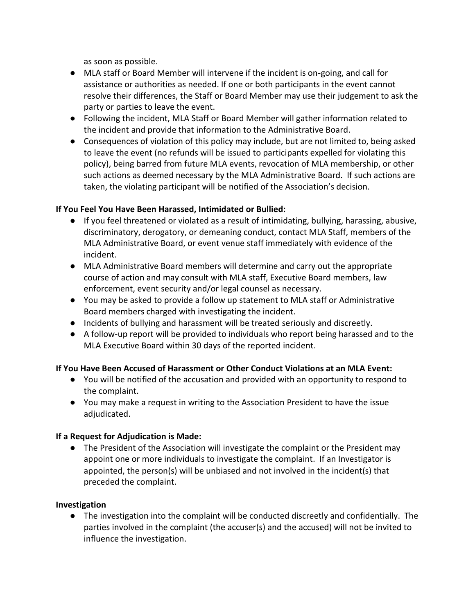as soon as possible.

- MLA staff or Board Member will intervene if the incident is on-going, and call for assistance or authorities as needed. If one or both participants in the event cannot resolve their differences, the Staff or Board Member may use their judgement to ask the party or parties to leave the event.
- Following the incident, MLA Staff or Board Member will gather information related to the incident and provide that information to the Administrative Board.
- Consequences of violation of this policy may include, but are not limited to, being asked to leave the event (no refunds will be issued to participants expelled for violating this policy), being barred from future MLA events, revocation of MLA membership, or other such actions as deemed necessary by the MLA Administrative Board. If such actions are taken, the violating participant will be notified of the Association's decision.

# **If You Feel You Have Been Harassed, Intimidated or Bullied:**

- If you feel threatened or violated as a result of intimidating, bullying, harassing, abusive, discriminatory, derogatory, or demeaning conduct, contact MLA Staff, members of the MLA Administrative Board, or event venue staff immediately with evidence of the incident.
- MLA Administrative Board members will determine and carry out the appropriate course of action and may consult with MLA staff, Executive Board members, law enforcement, event security and/or legal counsel as necessary.
- You may be asked to provide a follow up statement to MLA staff or Administrative Board members charged with investigating the incident.
- Incidents of bullying and harassment will be treated seriously and discreetly.
- A follow-up report will be provided to individuals who report being harassed and to the MLA Executive Board within 30 days of the reported incident.

# **If You Have Been Accused of Harassment or Other Conduct Violations at an MLA Event:**

- You will be notified of the accusation and provided with an opportunity to respond to the complaint.
- You may make a request in writing to the Association President to have the issue adjudicated.

# **If a Request for Adjudication is Made:**

● The President of the Association will investigate the complaint or the President may appoint one or more individuals to investigate the complaint. If an Investigator is appointed, the person(s) will be unbiased and not involved in the incident(s) that preceded the complaint.

# **Investigation**

● The investigation into the complaint will be conducted discreetly and confidentially. The parties involved in the complaint (the accuser(s) and the accused) will not be invited to influence the investigation.